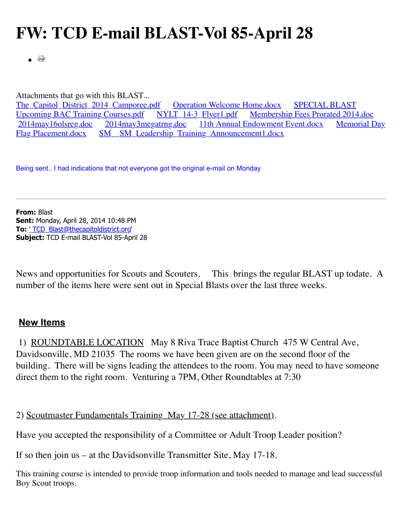## **FW: TCD E-mail BLAST-Vol 85-April 28**

**Contract**  $\bullet$ 

Attachments that go with this BLAST...

The Capitol District 2014 Camporee.pdf Operation Welcome Home.docx SPECIAL BLAST Upcoming BAC Training Courses.pdf<br>
2014 may 160 streg.doc 2014 may 3 megatring doc 11th Annual Endowment Event.docx Memorial Day 11th Annual Endowment Event.docx Flag Placement.docx [SM\\_\\_SM\\_Leadership\\_Training\\_Announcement1.docx](http://www.thecapitoldistrict.org/images/The%20BLAST/April_2014/SM__SM_Leadership_Training_Announcement1.docx)

Being sent.. I had indications that not everyone got the original e-mail on Monday

**From:** Blast **Sent:** Monday, April 28, 2014 10:48 PM **To:** ['](mailto:) [TCD\\_Blast@thecapitoldistrict.org](mailto:TCD_Blast@thecapitoldistrict.org)' **Subject:** TCD E-mail BLAST-Vol 85-April 28

News and opportunities for Scouts and Scouters. This brings the regular BLAST up todate. A number of the items here were sent out in Special Blasts over the last three weeks.

## **New Items**

 1) ROUNDTABLE LOCATION May 8 Riva Trace Baptist Church 475 W Central Ave, Davidsonville, MD 21035 The rooms we have been given are on the second floor of the building. There will be signs leading the attendees to the room. You may need to have someone direct them to the right room. Venturing a 7PM, Other Roundtables at 7:30

2) Scoutmaster Fundamentals Training May 17-28 (see attachment).

Have you accepted the responsibility of a Committee or Adult Troop Leader position?

If so then join us – at the Davidsonville Transmitter Site, May 17-18.

This training course is intended to provide troop information and tools needed to manage and lead successful Boy Scout troops.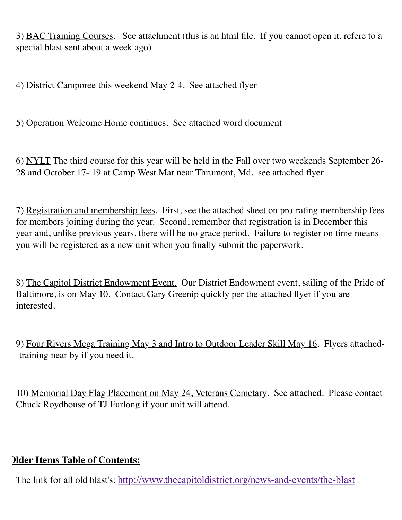3) BAC Training Courses. See attachment (this is an html file. If you cannot open it, refere to a special blast sent about a week ago)

4) District Camporee this weekend May 2-4. See attached flyer

5) Operation Welcome Home continues. See attached word document

6) NYLT The third course for this year will be held in the Fall over two weekends September 26- 28 and October 17- 19 at Camp West Mar near Thrumont, Md. see attached flyer

7) Registration and membership fees. First, see the attached sheet on pro-rating membership fees for members joining during the year. Second, remember that registration is in December this year and, unlike previous years, there will be no grace period. Failure to register on time means you will be registered as a new unit when you finally submit the paperwork.

8) The Capitol District Endowment Event. Our District Endowment event, sailing of the Pride of Baltimore, is on May 10. Contact Gary Greenip quickly per the attached flyer if you are interested.

9) Four Rivers Mega Training May 3 and Intro to Outdoor Leader Skill May 16. Flyers attached- -training near by if you need it.

10) Memorial Day Flag Placement on May 24, Veterans Cemetary. See attached. Please contact Chuck Roydhouse of TJ Furlong if your unit will attend.

## **Older Items Table of Contents:**

The link for all old blast's: <http://www.thecapitoldistrict.org/news-and-events/the-blast>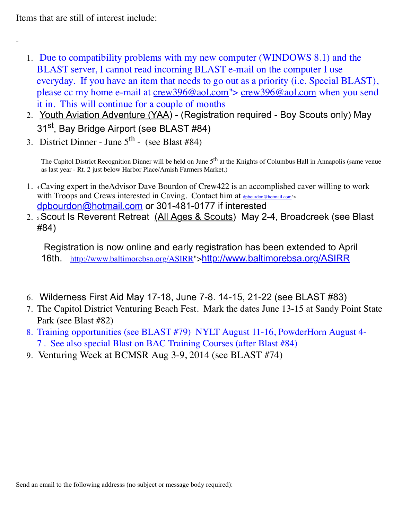Items that are still of interest include:

- 1. Due to compatibility problems with my new computer (WINDOWS 8.1) and the BLAST server, I cannot read incoming BLAST e-mail on the computer I use everyday. If you have an item that needs to go out as a priority (i.e. Special BLAST), please cc my home e-mail at [crew396@aol.com"](mailto:crew396@aol.com)> [crew396@aol.com](mailto:crew396@aol.com) when you send it in. This will continue for a couple of months
- 2. Youth Aviation Adventure (YAA) (Registration required Boy Scouts only) May 31<sup>st</sup>, Bay Bridge Airport (see BLAST #84)
- 3. District Dinner June  $5<sup>th</sup>$  (see Blast #84)

The Capitol District Recognition Dinner will be held on June 5<sup>th</sup> at the Knights of Columbus Hall in Annapolis (same venue as last year - Rt. 2 just below Harbor Place/Amish Farmers Market.)

- 1. 4.Caving expert in theAdvisor Dave Bourdon of Crew422 is an accomplished caver willing to work with Troops and Crews interested in Caving. Contact him at [dpbourdon@hotmail.com](mailto:dpbourdon@hotmail.com)"> [dpbourdon@hotmail.com](mailto:dpbourdon@hotmail.com) or 301-481-0177 if interested
- 2. 5.Scout Is Reverent Retreat (All Ages & Scouts) May 2-4, Broadcreek (see Blast #84)

 Registration is now online and early registration has been extended to April 16th. [http://www.baltimorebsa.org/ASIRR"](http://www.baltimorebsa.org/ASIRR)><http://www.baltimorebsa.org/ASIRR>

- 6. Wilderness First Aid May 17-18, June 7-8. 14-15, 21-22 (see BLAST #83)
- 7. The Capitol District Venturing Beach Fest. Mark the dates June 13-15 at Sandy Point State Park (see Blast #82)
- 8. Training opportunities (see BLAST #79) NYLT August 11-16, PowderHorn August 4- 7 . See also special Blast on BAC Training Courses (after Blast #84)
- 9. Venturing Week at BCMSR Aug 3-9, 2014 (see BLAST #74)

Send an email to the following addresss (no subject or message body required):